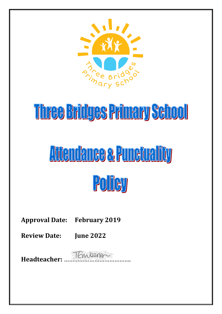

## Three Bridges Primary School

# <u>Attendance & Punciuality</u> Policy

### **Approval Date: February 2019**

**Review Date: June 2022**

Headteacher: TEmberson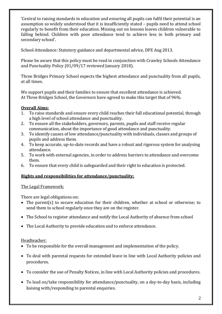'Central to raising standards in education and ensuring all pupils can fulfil their potential is an assumption so widely understood that it is insufficiently stated – pupils need to attend school regularly to benefit from their education. Missing out on lessons leaves children vulnerable to falling behind. Children with poor attendance tend to achieve less in both primary and secondary school'.

School Attendance: Statutory guidance and departmental advice, DFE Aug 2013.

Please be aware that this policy must be read in conjunction with Crawley Schools Attendance and Punctuality Policy (01/09/17 reviewed January 2018).

Three Bridges Primary School expects the highest attendance and punctuality from all pupils, at all times.

We support pupils and their families to ensure that excellent attendance is achieved. At Three Bridges School, the Governors have agreed to make this target that of 96%.

#### **Overall Aims:**

- 1. To raise standards and ensure every child reaches their full educational potential, through a high level of school attendance and punctuality.
- 2. To ensure all the stakeholders, governors, parents, pupils and staff receive regular communication, about the importance of good attendance and punctuality.
- 3. To identify causes of low attendance/punctuality with individuals, classes and groups of pupils and address them.
- 4. To keep accurate, up-to-date records and have a robust and rigorous system for analysing attendance.
- 5. To work with external agencies, in order to address barriers to attendance and overcome them.
- 6. To ensure that every child is safeguarded and their right to education is protected.

#### **Rights and responsibilities for attendance/punctuality:**

#### The Legal Framework:

There are legal obligations on:

- The parent(s) to secure education for their children, whether at school or otherwise; to send them to school regularly once they are on the register.
- The School to register attendance and notify the Local Authority of absence from school
- The Local Authority to provide education and to enforce attendance.

#### Headteacher:

- To be responsible for the overall management and implementation of the policy.
- To deal with parental requests for extended leave in line with Local Authority policies and procedures.
- To consider the use of Penalty Notices, in line with Local Authority policies and procedures.
- To lead on/take responsibility for attendance/punctuality, on a day-to-day basis, including liaising with/responding to parental enquiries.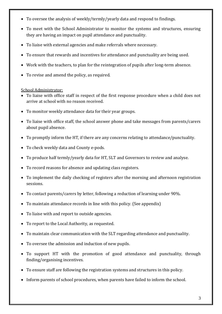- To oversee the analysis of weekly/termly/yearly data and respond to findings.
- To meet with the School Administrator to monitor the systems and structures, ensuring they are having an impact on pupil attendance and punctuality.
- To liaise with external agencies and make referrals where necessary.
- To ensure that rewards and incentives for attendance and punctuality are being used.
- Work with the teachers, to plan for the reintegration of pupils after long-term absence.
- To revise and amend the policy, as required.

#### School Administrator:

- To liaise with office staff in respect of the first response procedure when a child does not arrive at school with no reason received.
- To monitor weekly attendance data for their year groups.
- To liaise with office staff, the school answer phone and take messages from parents/carers about pupil absence.
- To promptly inform the HT, if there are any concerns relating to attendance/punctuality.
- To check weekly data and County e-pods.
- To produce half termly/yearly data for HT, SLT and Governors to review and analyse.
- To record reasons for absence and updating class registers.
- To implement the daily checking of registers after the morning and afternoon registration sessions.
- To contact parents/carers by letter, following a reduction of learning under 90%.
- To maintain attendance records in line with this policy. (See appendix)
- To liaise with and report to outside agencies.
- To report to the Local Authority, as requested.
- To maintain clear communication with the SLT regarding attendance and punctuality.
- To oversee the admission and induction of new pupils.
- To support HT with the promotion of good attendance and punctuality, through finding/organising incentives.
- To ensure staff are following the registration systems and structures in this policy.
- Inform parents of school procedures, when parents have failed to inform the school.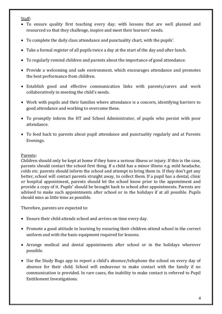Staff:

- To ensure quality first teaching every day; with lessons that are well planned and resourced so that they challenge, inspire and meet their learners' needs.
- To complete the daily class attendance and punctuality chart, with the pupils'.
- Take a formal register of all pupils twice a day at the start of the day and after lunch.
- To regularly remind children and parents about the importance of good attendance.
- Provide a welcoming and safe environment, which encourages attendance and promotes the best performance from children.
- Establish good and effective communication links with parents/carers and work collaboratively in meeting the child's needs.
- Work with pupils and their families where attendance is a concern, identifying barriers to good attendance and working to overcome these.
- To promptly inform the HT and School Administrator, of pupils who persist with poor attendance.
- To feed back to parents about pupil attendance and punctuality regularly and at Parents Evenings.

#### Parents:

Children should only be kept at home if they have a serious illness or injury. If this is the case, parents should contact the school first thing. If a child has a minor illness e.g. mild headache, colds etc. parents should inform the school and attempt to bring them in. If they don't get any better, school will contact parents straight away, to collect them. If a pupil has a dental, clinic or hospital appointment, parents should let the school know prior to the appointment and provide a copy of it. Pupils' should be brought back to school after appointments. Parents are advised to make such appointments after school or in the holidays if at all possible. Pupils should miss as little time as possible.

Therefore, parents are expected to:

- Ensure their child attends school and arrives on time every day.
- Promote a good attitude to learning by ensuring their children attend school in the correct uniform and with the basic equipment required for lessons.
- Arrange medical and dental appointments after school or in the holidays wherever possible.
- Use the Study Bugs app to report a child's absence/telephone the school on every day of absence for their child. School will endeavour to make contact with the family if no communication is provided. In rare cases, the inability to make contact is referred to Pupil Entitlement Investigations.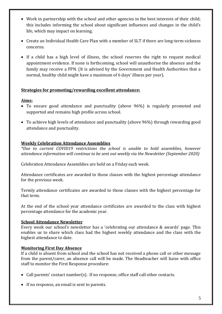- Work in partnership with the school and other agencies in the best interests of their child; this includes informing the school about significant influences and changes in the child's life, which may impact on learning.
- Create an Individual Health Care Plan with a member of SLT if there are long-term sickness concerns.
- If a child has a high level of illness, the school reserves the right to request medical appointment evidence. If none is forthcoming, school will unauthorise the absence and the family may receive a FPN. (It is advised by the Government and Health Authorities that a normal, healthy child might have a maximum of 6 days' illness per year).

#### **Strategies for promoting/rewarding excellent attendance:**

#### **Aims:**

- To ensure good attendance and punctuality (above 96%) is regularly promoted and supported and remains high profile across school.
- To achieve high levels of attendance and punctuality (above 96%) through rewarding good attendance and punctuality.

#### **Weekly Celebration Attendance Assemblies**

*\*Due to current COVID19 restrictions the school is unable to hold assemblies, however attendance information will continue to be sent out weekly via the Newsletter (September 2020)*

Celebration Attendance Assemblies are held on a Friday each week.

Attendance certificates are awarded to those classes with the highest percentage attendance for the previous week.

Termly attendance certificates are awarded to those classes with the highest percentage for that term.

At the end of the school year attendance certificates are awarded to the class with highest percentage attendance for the academic year.

#### **School Attendance Newsletter**

Every week our school's newsletter has a 'celebrating our attendance & awards' page. This enables us to share which class had the highest weekly attendance and the class with the highest attendance to date.

#### **Monitoring First Day Absence**

If a child is absent from school and the school has not received a phone call or other message from the parent/carer, an absence call will be made. The Headteacher will liaise with office staff to monitor the First Response procedure:

- Call parents' contact number(s). If no response, office staff call other contacts.
- If no response, an email is sent to parents.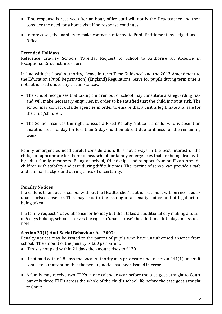- If no response is received after an hour, office staff will notify the Headteacher and then consider the need for a home visit if no response continues.
- In rare cases, the inability to make contact is referred to Pupil Entitlement Investigations Office.

#### **Extended Holidays**

Reference Crawley Schools 'Parental Request to School to Authorise an Absence in Exceptional Circumstances' form.

In line with the Local Authority, 'Leave in term Time Guidance' and the 2013 Amendment to the Education (Pupil Registration) (England) Regulations, leave for pupils during term time is not authorised under any circumstances.

- The school recognises that taking children out of school may constitute a safeguarding risk and will make necessary enquiries, in order to be satisfied that the child is not at risk. The school may contact outside agencies in order to ensure that a visit is legitimate and safe for the child/children.
- The School reserves the right to issue a Fixed Penalty Notice if a child, who is absent on unauthorised holiday for less than 5 days, is then absent due to illness for the remaining week.

Family emergencies need careful consideration. It is not always in the best interest of the child, nor appropriate for them to miss school for family emergencies that are being dealt with by adult family members. Being at school, friendships and support from staff can provide children with stability and care during difficult times. The routine of school can provide a safe and familiar background during times of uncertainty.

#### **Penalty Notices**

If a child is taken out of school without the Headteacher's authorisation, it will be recorded as unauthorised absence. This may lead to the issuing of a penalty notice and of legal action being taken.

If a family request 4 days' absence for holiday but then takes an additional day making a total of 5 days holiday, school reserves the right to 'unauthorise' the additional fifth day and issue a FPN.

#### **Section 23(1) Anti-Social Behaviour Act 2007:**

Penalty notices may be issued to the parent of pupils who have unauthorised absence from school. The amount of the penalty is £60 per parent.

- If this is not paid within 21 days the amount rises to  $E120$ .
- If not paid within 28 days the Local Authority may prosecute under section 444(1) unless it comes to our attention that the penalty notice had been issued in error.
- A family may receive two FTP's in one calendar year before the case goes straight to Court but only three FTP's across the whole of the child's school life before the case goes straight to Court.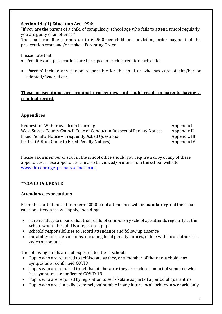#### **Section 444(1) Education Act 1996:**

"If you are the parent of a child of compulsory school age who fails to attend school regularly, you are guilty of an offence."

The court can fine parents up to £2,500 per child on conviction, order payment of the prosecution costs and/or make a Parenting Order.

Please note that:

- Penalties and prosecutions are in respect of each parent for each child.
- 'Parents' include any person responsible for the child or who has care of him/her or adopted/fostered etc.

#### **These prosecutions are criminal proceedings and could result in parents having a criminal record.**

#### **Appendices**

| Request for Withdrawal from Learning                                     | Appendix I   |
|--------------------------------------------------------------------------|--------------|
| West Sussex County Council Code of Conduct in Respect of Penalty Notices | Appendix II  |
| Fixed Penalty Notice – Frequently Asked Questions                        | Appendix III |
| Leaflet (A Brief Guide to Fixed Penalty Notices)                         | Appendix IV  |

Please ask a member of staff in the school office should you require a copy of any of these appendices. These appendices can also be viewed/printed from the school website [www.threebridgesprimaryschool.co.uk](http://www.threebridgesprimaryschool.co.uk/)

#### **\*\*COVID 19 UPDATE**

#### **Attendance expectations**

From the start of the autumn term 2020 pupil attendance will be **mandatory** and the usual rules on attendance will apply, including:

- parents' duty to ensure that their child of compulsory school age attends regularly at the school where the child is a registered pupil
- schools' responsibilities to record attendance and follow up absence
- the ability to issue sanctions, including fixed penalty notices, in line with local authorities' codes of conduct

The following pupils are not expected to attend school:

- Pupils who are required to self-isolate as they, or a member of their household, has symptoms or confirmed COVID.
- Pupils who are required to self-isolate because they are a close contact of someone who has symptoms or confirmed COVID-19.
- Pupils who are required by legislation to self -isolate as part of a period of quarantine.
- Pupils who are clinically extremely vulnerable in any future local lockdown scenario only.